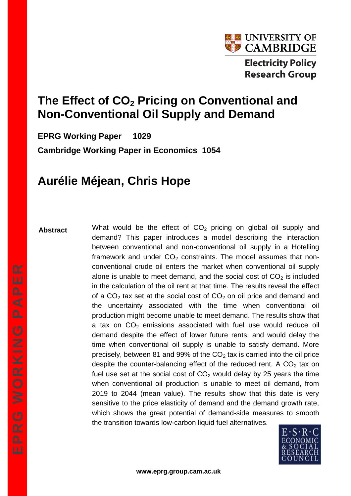

# **The Effect of CO<sup>2</sup> Pricing on Conventional and Non-Conventional Oil Supply and Demand**

**EPRG Working Paper 1029 Cambridge Working Paper in Economics 1054**

# **Aurélie Méjean, Chris Hope**

### **Abstract**

What would be the effect of  $CO<sub>2</sub>$  pricing on global oil supply and demand? This paper introduces a model describing the interaction between conventional and non-conventional oil supply in a Hotelling framework and under  $CO<sub>2</sub>$  constraints. The model assumes that nonconventional crude oil enters the market when conventional oil supply alone is unable to meet demand, and the social cost of  $CO<sub>2</sub>$  is included in the calculation of the oil rent at that time. The results reveal the effect of a  $CO<sub>2</sub>$  tax set at the social cost of  $CO<sub>2</sub>$  on oil price and demand and the uncertainty associated with the time when conventional oil production might become unable to meet demand. The results show that a tax on  $CO<sub>2</sub>$  emissions associated with fuel use would reduce oil demand despite the effect of lower future rents, and would delay the time when conventional oil supply is unable to satisfy demand. More precisely, between 81 and 99% of the  $CO<sub>2</sub>$  tax is carried into the oil price despite the counter-balancing effect of the reduced rent. A  $CO<sub>2</sub>$  tax on fuel use set at the social cost of  $CO<sub>2</sub>$  would delay by 25 years the time when conventional oil production is unable to meet oil demand, from 2019 to 2044 (mean value). The results show that this date is very sensitive to the price elasticity of demand and the demand growth rate, which shows the great potential of demand-side measures to smooth the transition towards low-carbon liquid fuel alternatives.

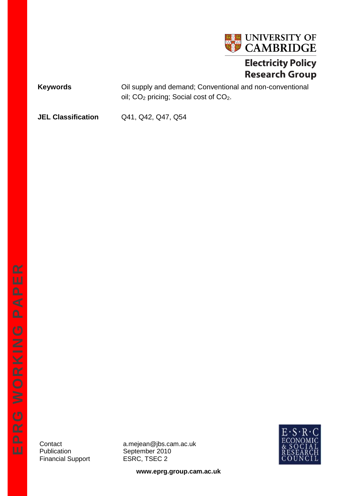

# **Electricity Policy Research Group**

**Keywords Cil supply and demand; Conventional and non-conventional** oil; CO<sub>2</sub> pricing; Social cost of CO<sub>2</sub>.

**JEL Classification** Q41, Q42, Q47, Q54

Financial Support **ESRC, TSEC 2** 

Contact a.mejean@jbs.cam.ac.uk<br>Publication September 2010 September 2010



**www.eprg.group.cam.ac.uk**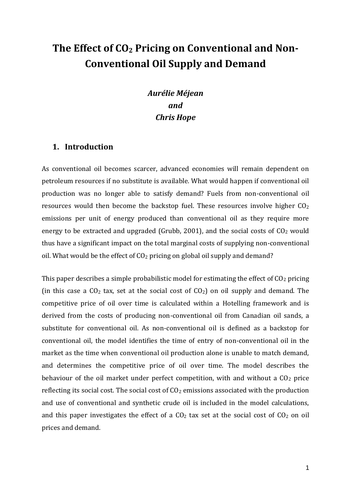# **The Effect of CO<sup>2</sup> Pricing on Conventional and Non-Conventional Oil Supply and Demand**

### *Aurélie Méjean and Chris Hope*

### **1. Introduction**

As conventional oil becomes scarcer, advanced economies will remain dependent on petroleum resources if no substitute is available. What would happen if conventional oil production was no longer able to satisfy demand? Fuels from non-conventional oil resources would then become the backstop fuel. These resources involve higher  $CO<sub>2</sub>$ emissions per unit of energy produced than conventional oil as they require more energy to be extracted and upgraded (Grubb, 2001), and the social costs of  $CO<sub>2</sub>$  would thus have a significant impact on the total marginal costs of supplying non-conventional oil. What would be the effect of  $CO<sub>2</sub>$  pricing on global oil supply and demand?

This paper describes a simple probabilistic model for estimating the effect of  $CO<sub>2</sub>$  pricing (in this case a  $CO<sub>2</sub>$  tax, set at the social cost of  $CO<sub>2</sub>$ ) on oil supply and demand. The competitive price of oil over time is calculated within a Hotelling framework and is derived from the costs of producing non-conventional oil from Canadian oil sands, a substitute for conventional oil. As non-conventional oil is defined as a backstop for conventional oil, the model identifies the time of entry of non-conventional oil in the market as the time when conventional oil production alone is unable to match demand, and determines the competitive price of oil over time. The model describes the behaviour of the oil market under perfect competition, with and without a  $CO<sub>2</sub>$  price reflecting its social cost. The social cost of  $CO<sub>2</sub>$  emissions associated with the production and use of conventional and synthetic crude oil is included in the model calculations, and this paper investigates the effect of a  $CO<sub>2</sub>$  tax set at the social cost of  $CO<sub>2</sub>$  on oil prices and demand.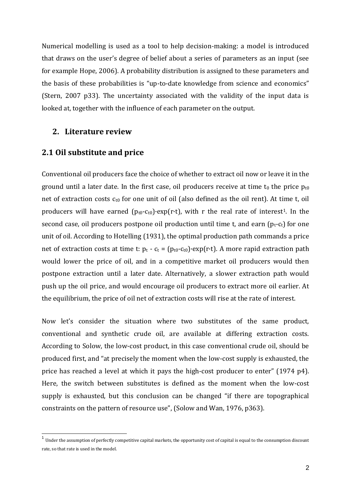Numerical modelling is used as a tool to help decision-making: a model is introduced that draws on the user's degree of belief about a series of parameters as an input (see for example Hope, 2006). A probability distribution is assigned to these parameters and the basis of these probabilities is "up-to-date knowledge from science and economics" (Stern, 2007 p33). The uncertainty associated with the validity of the input data is looked at, together with the influence of each parameter on the output.

### **2. Literature review**

### **2.1 Oil substitute and price**

Conventional oil producers face the choice of whether to extract oil now or leave it in the ground until a later date. In the first case, oil producers receive at time t<sub>0</sub> the price  $p_{t0}$ net of extraction costs  $c_{t0}$  for one unit of oil (also defined as the oil rent). At time t, oil producers will have earned  $(p_{t0}-c_{t0})\cdot exp(r\cdot t)$ , with r the real rate of interest<sup>1</sup>. In the second case, oil producers postpone oil production until time t, and earn  $(p_t-c_t)$  for one unit of oil. According to Hotelling (1931), the optimal production path commands a price net of extraction costs at time t:  $p_t - c_t = (p_{t0} - c_{t0}) \cdot \exp(r \cdot t)$ . A more rapid extraction path would lower the price of oil, and in a competitive market oil producers would then postpone extraction until a later date. Alternatively, a slower extraction path would push up the oil price, and would encourage oil producers to extract more oil earlier. At the equilibrium, the price of oil net of extraction costs will rise at the rate of interest.

Now let's consider the situation where two substitutes of the same product, conventional and synthetic crude oil, are available at differing extraction costs. According to Solow, the low-cost product, in this case conventional crude oil, should be produced first, and "at precisely the moment when the low-cost supply is exhausted, the price has reached a level at which it pays the high-cost producer to enter" (1974 p4). Here, the switch between substitutes is defined as the moment when the low-cost supply is exhausted, but this conclusion can be changed "if there are topographical constraints on the pattern of resource use", (Solow and Wan, 1976, p363).

 1 Under the assumption of perfectly competitive capital markets, the opportunity cost of capital is equal to the consumption discount rate, so that rate is used in the model.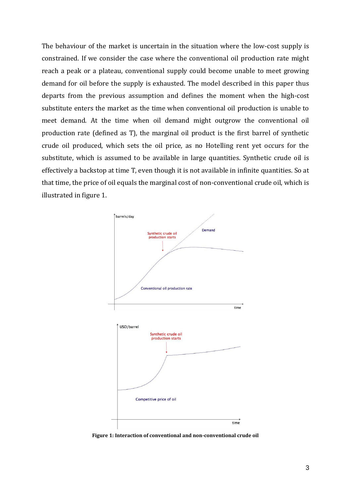The behaviour of the market is uncertain in the situation where the low-cost supply is constrained. If we consider the case where the conventional oil production rate might reach a peak or a plateau, conventional supply could become unable to meet growing demand for oil before the supply is exhausted. The model described in this paper thus departs from the previous assumption and defines the moment when the high-cost substitute enters the market as the time when conventional oil production is unable to meet demand. At the time when oil demand might outgrow the conventional oil production rate (defined as T), the marginal oil product is the first barrel of synthetic crude oil produced, which sets the oil price, as no Hotelling rent yet occurs for the substitute, which is assumed to be available in large quantities. Synthetic crude oil is effectively a backstop at time T, even though it is not available in infinite quantities. So at that time, the price of oil equals the marginal cost of non-conventional crude oil, which is illustrated in figure 1.



**Figure 1: Interaction of conventional and non-conventional crude oil**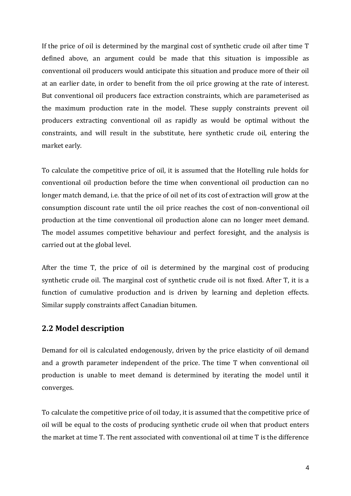If the price of oil is determined by the marginal cost of synthetic crude oil after time T defined above, an argument could be made that this situation is impossible as conventional oil producers would anticipate this situation and produce more of their oil at an earlier date, in order to benefit from the oil price growing at the rate of interest. But conventional oil producers face extraction constraints, which are parameterised as the maximum production rate in the model. These supply constraints prevent oil producers extracting conventional oil as rapidly as would be optimal without the constraints, and will result in the substitute, here synthetic crude oil, entering the market early.

To calculate the competitive price of oil, it is assumed that the Hotelling rule holds for conventional oil production before the time when conventional oil production can no longer match demand, i.e. that the price of oil net of its cost of extraction will grow at the consumption discount rate until the oil price reaches the cost of non-conventional oil production at the time conventional oil production alone can no longer meet demand. The model assumes competitive behaviour and perfect foresight, and the analysis is carried out at the global level.

After the time T, the price of oil is determined by the marginal cost of producing synthetic crude oil. The marginal cost of synthetic crude oil is not fixed. After T, it is a function of cumulative production and is driven by learning and depletion effects. Similar supply constraints affect Canadian bitumen.

### **2.2 Model description**

Demand for oil is calculated endogenously, driven by the price elasticity of oil demand and a growth parameter independent of the price. The time T when conventional oil production is unable to meet demand is determined by iterating the model until it converges.

To calculate the competitive price of oil today, it is assumed that the competitive price of oil will be equal to the costs of producing synthetic crude oil when that product enters the market at time T. The rent associated with conventional oil at time T is the difference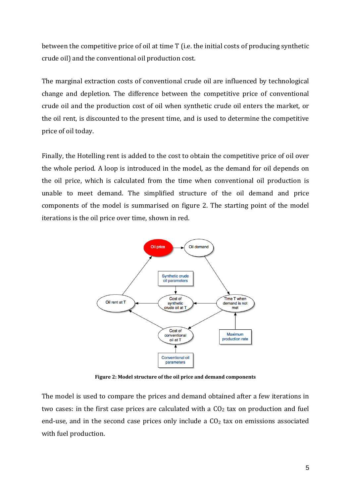between the competitive price of oil at time T (i.e. the initial costs of producing synthetic crude oil) and the conventional oil production cost.

The marginal extraction costs of conventional crude oil are influenced by technological change and depletion. The difference between the competitive price of conventional crude oil and the production cost of oil when synthetic crude oil enters the market, or the oil rent, is discounted to the present time, and is used to determine the competitive price of oil today.

Finally, the Hotelling rent is added to the cost to obtain the competitive price of oil over the whole period. A loop is introduced in the model, as the demand for oil depends on the oil price, which is calculated from the time when conventional oil production is unable to meet demand. The simplified structure of the oil demand and price components of the model is summarised on figure 2. The starting point of the model iterations is the oil price over time, shown in red.



**Figure 2: Model structure of the oil price and demand components**

The model is used to compare the prices and demand obtained after a few iterations in two cases: in the first case prices are calculated with a  $CO<sub>2</sub>$  tax on production and fuel end-use, and in the second case prices only include a  $CO<sub>2</sub>$  tax on emissions associated with fuel production.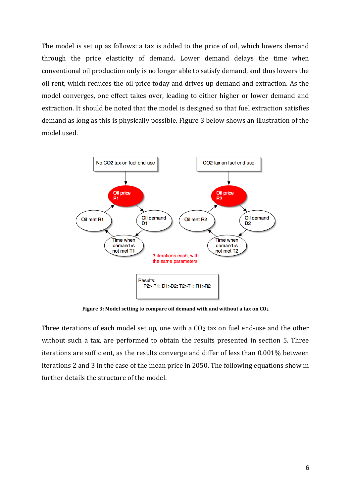The model is set up as follows: a tax is added to the price of oil, which lowers demand through the price elasticity of demand. Lower demand delays the time when conventional oil production only is no longer able to satisfy demand, and thus lowers the oil rent, which reduces the oil price today and drives up demand and extraction. As the model converges, one effect takes over, leading to either higher or lower demand and extraction. It should be noted that the model is designed so that fuel extraction satisfies demand as long as this is physically possible. Figure 3 below shows an illustration of the model used.



**Figure 3: Model setting to compare oil demand with and without a tax on CO<sup>2</sup>**

Three iterations of each model set up, one with a  $CO<sub>2</sub>$  tax on fuel end-use and the other without such a tax, are performed to obtain the results presented in section 5. Three iterations are sufficient, as the results converge and differ of less than 0.001% between iterations 2 and 3 in the case of the mean price in 2050. The following equations show in further details the structure of the model.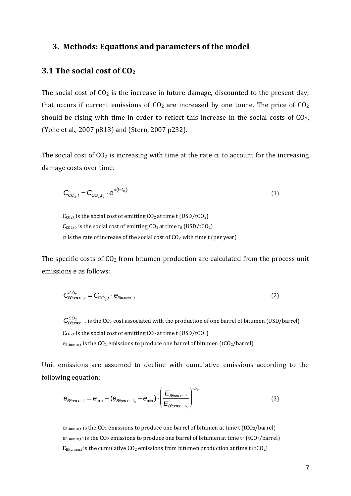### **3. Methods: Equations and parameters of the model**

### **3.1 The social cost of CO<sup>2</sup>**

The social cost of  $CO<sub>2</sub>$  is the increase in future damage, discounted to the present day, that occurs if current emissions of  $CO<sub>2</sub>$  are increased by one tonne. The price of  $CO<sub>2</sub>$ should be rising with time in order to reflect this increase in the social costs of  $CO<sub>2</sub>$ , (Yohe et al., 2007 p813) and (Stern, 2007 p232).

The social cost of  $CO<sub>2</sub>$  is increasing with time at the rate  $\alpha$ , to account for the increasing damage costs over time.

$$
\mathbf{C}_{\mathrm{CO}_2,t} = \mathbf{C}_{\mathrm{CO}_2,t_0} \cdot \mathbf{e}^{\alpha(t-t_0)} \tag{1}
$$

 $C_{CO2,t}$  is the social cost of emitting  $CO<sub>2</sub>$  at time t (USD/tCO<sub>2</sub>)  $C<sub>CO2,t0</sub>$  is the social cost of emitting  $CO<sub>2</sub>$  at time t<sub>0</sub> (USD/tCO<sub>2</sub>)  $\alpha$  is the rate of increase of the social cost of CO<sub>2</sub> with time t (per year)

The specific costs of  $CO<sub>2</sub>$  from bitumen production are calculated from the process unit emissions e as follows:

$$
\mathbf{C}_{\text{Bitmen},t}^{\text{CO}_2} = \mathbf{C}_{\text{CO}_2,t} \cdot \mathbf{e}_{\text{Bitmen},t} \tag{2}
$$

 $C^{CO_2}_{Bitumen, t}$  is the CO<sub>2</sub> cost associated with the production of one barrel of bitumen (USD/barrel)  $C_{CO2,t}$  is the social cost of emitting  $CO<sub>2</sub>$  at time t (USD/tCO<sub>2</sub>)  $e_{Bitument}$  is the  $CO<sub>2</sub>$  emissions to produce one barrel of bitumen (tCO<sub>2</sub>/barrel)

Unit emissions are assumed to decline with cumulative emissions according to the following equation:

$$
\mathbf{e}_{\text{Bitumen }t} = \mathbf{e}_{\text{min}} + (\mathbf{e}_{\text{Bitumen }t_0} - \mathbf{e}_{\text{min}}) \cdot \left(\frac{E_{\text{Bitumen }t}}{E_{\text{Bitumen }t_0}}\right)^{-b_e}
$$
(3)

 $e_{Bitumen,t}$  is the CO<sub>2</sub> emissions to produce one barrel of bitumen at time t (tCO<sub>2</sub>/barrel)  $e$ Bitumen,t0 is the CO<sub>2</sub> emissions to produce one barrel of bitumen at time t<sub>0</sub> (tCO<sub>2</sub>/barrel)  $E_{Bitumen, t}$  is the cumulative  $CO_2$  emissions from bitumen production at time t (tCO<sub>2</sub>)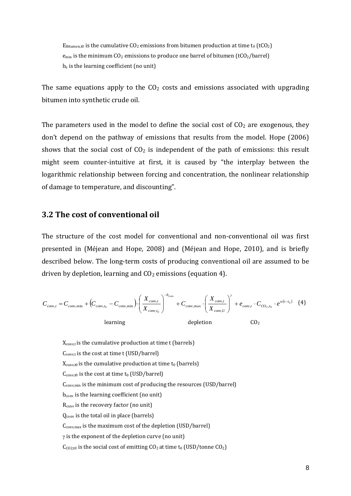$E_{Bitumen,t0}$  is the cumulative CO<sub>2</sub> emissions from bitumen production at time t<sub>0</sub> (tCO<sub>2</sub>)  $e_{\text{min}}$  is the minimum CO<sub>2</sub> emissions to produce one barrel of bitumen (tCO<sub>2</sub>/barrel) b<sup>e</sup> is the learning coefficient (no unit)

The same equations apply to the  $CO<sub>2</sub>$  costs and emissions associated with upgrading bitumen into synthetic crude oil.

The parameters used in the model to define the social cost of  $CO<sub>2</sub>$  are exogenous, they don't depend on the pathway of emissions that results from the model. Hope (2006) shows that the social cost of  $CO<sub>2</sub>$  is independent of the path of emissions: this result might seem counter-intuitive at first, it is caused by "the interplay between the logarithmic relationship between forcing and concentration, the nonlinear relationship of damage to temperature, and discounting".

### **3.2 The cost of conventional oil**

The structure of the cost model for conventional and non-conventional oil was first presented in (Méjean and Hope, 2008) and (Méjean and Hope, 2010), and is briefly described below. The long-term costs of producing conventional oil are assumed to be driven by depletion, learning and  $CO<sub>2</sub>$  emissions (equation 4).

$$
C_{conv,t} = C_{conv,min} + \left(C_{conv,t_0} - C_{conv,min}\right) \cdot \left(\frac{X_{conv,t}}{X_{conv,t_0}}\right)^{-b_{conv}} + C_{conv,max} \cdot \left(\frac{X_{conv,t}}{X_{conv,U}}\right)^{\gamma} + e_{conv,t} \cdot C_{CO_2,t_0} \cdot e^{\alpha(t-t_0)} \tag{4}
$$
\n
$$
\text{learning} \qquad \text{depletion} \qquad \text{CO}_2
$$

Xconv,t is the cumulative production at time t (barrels)  $C_{\text{conv,t}}$  is the cost at time t (USD/barrel)  $X_{\text{conv,t0}}$  is the cumulative production at time  $t_0$  (barrels)  $C_{\text{conv,t0}}$  is the cost at time  $t_0$  (USD/barrel) C<sub>conv,min</sub> is the minimum cost of producing the resources (USD/barrel) bconv is the learning coefficient (no unit) Rconv is the recovery factor (no unit) Qconv is the total oil in place (barrels) Cconv,max is the maximum cost of the depletion (USD/barrel)  $\gamma$  is the exponent of the depletion curve (no unit)  $C<sub>CO2,t0</sub>$  is the social cost of emitting  $CO<sub>2</sub>$  at time t<sub>0</sub> (USD/tonne  $CO<sub>2</sub>$ )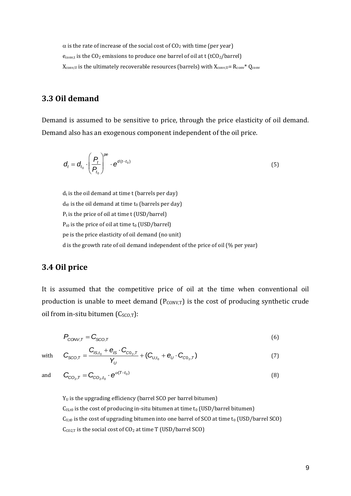$\alpha$  is the rate of increase of the social cost of CO<sub>2</sub> with time (per year)  $e_{\text{conv,t}}$  is the CO<sub>2</sub> emissions to produce one barrel of oil at t (tCO<sub>2</sub>/barrel)  $X_{conv,U}$  is the ultimately recoverable resources (barrels) with  $X_{conv,U} = R_{conv} * Q_{conv}$ 

### **3.3 Oil demand**

Demand is assumed to be sensitive to price, through the price elasticity of oil demand. Demand also has an exogenous component independent of the oil price.

$$
\boldsymbol{d}_{t} = \boldsymbol{d}_{t_0} \cdot \left(\frac{P_t}{P_{t_0}}\right)^{\rho \epsilon} \cdot \boldsymbol{e}^{d(t-t_0)}
$$
\n
$$
\tag{5}
$$

 $d_t$  is the oil demand at time t (barrels per day)  $d_{t0}$  is the oil demand at time  $t_0$  (barrels per day)  $P_t$  is the price of oil at time t (USD/barrel)  $P_{t0}$  is the price of oil at time  $t_0$  (USD/barrel) pe is the price elasticity of oil demand (no unit) d is the growth rate of oil demand independent of the price of oil (% per year)

### **3.4 Oil price**

It is assumed that the competitive price of oil at the time when conventional oil production is unable to meet demand  $(P_{CONV,T})$  is the cost of producing synthetic crude oil from in-situ bitumen  $(C_{SCO,T})$ :

$$
P_{\text{conv},\tau} = C_{\text{SCO},\tau} \tag{6}
$$

$$
C_{SCO,T} = \frac{C_{IS,t_0} + e_{IS} \cdot C_{CO_2,T}}{Y_U} + (C_{U,t_0} + e_U \cdot C_{CO_2,T})
$$
\n(7)

and

with

$$
\mathbf{C}_{\mathrm{CO}_2,T} = \mathbf{C}_{\mathrm{CO}_2,t_0} \cdot \mathbf{e}^{\alpha(T-t_0)} \tag{8}
$$

 $Y_U$  is the upgrading efficiency (barrel SCO per barrel bitumen)  $C<sub>IS,t0</sub>$  is the cost of producing in-situ bitumen at time  $t<sub>0</sub>$  (USD/barrel bitumen)  $C<sub>U,t0</sub>$  is the cost of upgrading bitumen into one barrel of SCO at time  $t<sub>0</sub>$  (USD/barrel SCO)  $C_{CO2,T}$  is the social cost of  $CO<sub>2</sub>$  at time T (USD/barrel SCO)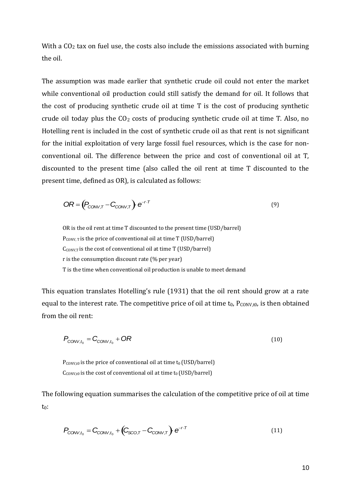With a  $CO<sub>2</sub>$  tax on fuel use, the costs also include the emissions associated with burning the oil.

The assumption was made earlier that synthetic crude oil could not enter the market while conventional oil production could still satisfy the demand for oil. It follows that the cost of producing synthetic crude oil at time T is the cost of producing synthetic crude oil today plus the  $CO<sub>2</sub>$  costs of producing synthetic crude oil at time T. Also, no Hotelling rent is included in the cost of synthetic crude oil as that rent is not significant for the initial exploitation of very large fossil fuel resources, which is the case for nonconventional oil. The difference between the price and cost of conventional oil at T, discounted to the present time (also called the oil rent at time T discounted to the present time, defined as OR), is calculated as follows:

$$
OR = (P_{CONV,T} - C_{CONV,T}) e^{-r \cdot T}
$$
\n(9)

OR is the oil rent at time T discounted to the present time (USD/barrel)  $P_{CONV, T}$  is the price of conventional oil at time T (USD/barrel)  $C_{\text{CONV,T}}$  is the cost of conventional oil at time T (USD/barrel) r is the consumption discount rate (% per year) T is the time when conventional oil production is unable to meet demand

This equation translates Hotelling's rule (1931) that the oil rent should grow at a rate equal to the interest rate. The competitive price of oil at time  $t_0$ ,  $P_{CONV,t0}$ , is then obtained from the oil rent:

$$
P_{\text{conv},t_0} = C_{\text{conv},t_0} + OR \tag{10}
$$

 $P_{CONV,t0}$  is the price of conventional oil at time  $t_0$  (USD/barrel)  $C_{\text{CONV,t0}}$  is the cost of conventional oil at time  $t_0$  (USD/barrel)

The following equation summarises the calculation of the competitive price of oil at time t0:

$$
P_{\text{CONV},t_0} = C_{\text{CONV},t_0} + \left(C_{\text{SCO},T} - C_{\text{CONV},T}\right) e^{-r \cdot T}
$$
\n(11)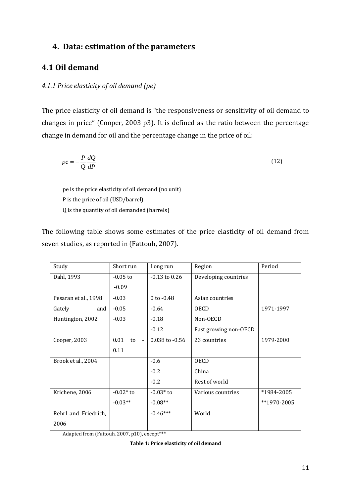### **4. Data: estimation of the parameters**

### **4.1 Oil demand**

### *4.1.1 Price elasticity of oil demand (pe)*

The price elasticity of oil demand is "the responsiveness or sensitivity of oil demand to changes in price" (Cooper, 2003 p3). It is defined as the ratio between the percentage change in demand for oil and the percentage change in the price of oil:

$$
pe = -\frac{P}{Q}\frac{dQ}{dP}
$$
 (12)

pe is the price elasticity of oil demand (no unit) P is the price of oil (USD/barrel) Q is the quantity of oil demanded (barrels)

The following table shows some estimates of the price elasticity of oil demand from seven studies, as reported in (Fattouh, 2007).

| Study                | Short run                    | Long run           | Region                | Period      |
|----------------------|------------------------------|--------------------|-----------------------|-------------|
| Dahl, 1993           | $-0.05$ to                   | $-0.13$ to $0.26$  | Developing countries  |             |
|                      | $-0.09$                      |                    |                       |             |
| Pesaran et al., 1998 | $-0.03$                      | $0$ to $-0.48$     | Asian countries       |             |
| Gately<br>and        | $-0.05$                      | $-0.64$            | <b>OECD</b>           | 1971-1997   |
| Huntington, 2002     | $-0.03$                      | $-0.18$            | Non-OECD              |             |
|                      |                              | $-0.12$            | Fast growing non-OECD |             |
| Cooper, 2003         | 0.01<br>to<br>$\blacksquare$ | $0.038$ to $-0.56$ | 23 countries          | 1979-2000   |
|                      | 0.11                         |                    |                       |             |
| Brook et al., 2004   |                              | $-0.6$             | <b>OECD</b>           |             |
|                      |                              | $-0.2$             | China                 |             |
|                      |                              | $-0.2$             | Rest of world         |             |
| Krichene, 2006       | $-0.02*$ to                  | $-0.03*$ to        | Various countries     | *1984-2005  |
|                      | $-0.03**$                    | $-0.08**$          |                       | **1970-2005 |
| Rehrl and Friedrich, |                              | $-0.46***$         | World                 |             |
| 2006                 |                              |                    |                       |             |

Adapted from (Fattouh, 2007, p10), except\*\*\*

**Table 1: Price elasticity of oil demand**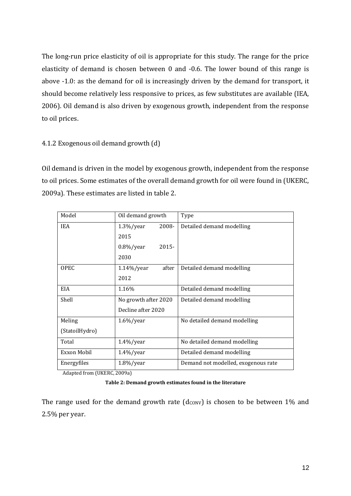The long-run price elasticity of oil is appropriate for this study. The range for the price elasticity of demand is chosen between 0 and -0.6. The lower bound of this range is above -1.0: as the demand for oil is increasingly driven by the demand for transport, it should become relatively less responsive to prices, as few substitutes are available (IEA, 2006). Oil demand is also driven by exogenous growth, independent from the response to oil prices.

### 4.1.2 Exogenous oil demand growth (d)

Oil demand is driven in the model by exogenous growth, independent from the response to oil prices. Some estimates of the overall demand growth for oil were found in (UKERC, 2009a). These estimates are listed in table 2.

| Model          | Oil demand growth        | Type                                |
|----------------|--------------------------|-------------------------------------|
| <b>IEA</b>     | 2008-<br>$1.3\%/year$    | Detailed demand modelling           |
|                | 2015                     |                                     |
|                | $2015 -$<br>$0.8\%/year$ |                                     |
|                | 2030                     |                                     |
| <b>OPEC</b>    | after<br>$1.14\%$ /year  | Detailed demand modelling           |
|                | 2012                     |                                     |
| <b>EIA</b>     | 1.16%                    | Detailed demand modelling           |
| Shell          | No growth after 2020     | Detailed demand modelling           |
|                | Decline after 2020       |                                     |
| Meling         | $1.6\%/year$             | No detailed demand modelling        |
| (StatoilHydro) |                          |                                     |
| Total          | $1.4\%$ /year            | No detailed demand modelling        |
| Exxon Mobil    | $1.4\%$ /year            | Detailed demand modelling           |
| Energyfiles    | $1.8\%/year$             | Demand not modelled, exogenous rate |

Adapted from (UKERC, 2009a)

**Table 2: Demand growth estimates found in the literature**

The range used for the demand growth rate  $(d_{\text{CONV}})$  is chosen to be between 1% and 2.5% per year.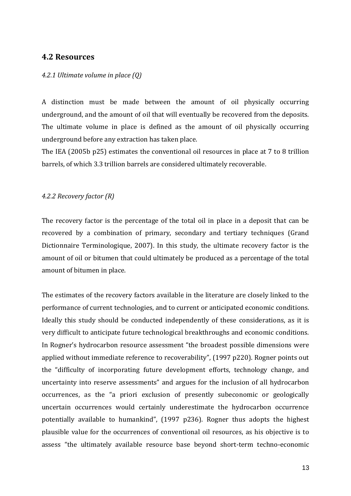### **4.2 Resources**

### *4.2.1 Ultimate volume in place (Q)*

A distinction must be made between the amount of oil physically occurring underground, and the amount of oil that will eventually be recovered from the deposits. The ultimate volume in place is defined as the amount of oil physically occurring underground before any extraction has taken place.

The IEA (2005b p25) estimates the conventional oil resources in place at 7 to 8 trillion barrels, of which 3.3 trillion barrels are considered ultimately recoverable.

### *4.2.2 Recovery factor (R)*

The recovery factor is the percentage of the total oil in place in a deposit that can be recovered by a combination of primary, secondary and tertiary techniques (Grand Dictionnaire Terminologique, 2007). In this study, the ultimate recovery factor is the amount of oil or bitumen that could ultimately be produced as a percentage of the total amount of bitumen in place.

The estimates of the recovery factors available in the literature are closely linked to the performance of current technologies, and to current or anticipated economic conditions. Ideally this study should be conducted independently of these considerations, as it is very difficult to anticipate future technological breakthroughs and economic conditions. In Rogner's hydrocarbon resource assessment "the broadest possible dimensions were applied without immediate reference to recoverability", (1997 p220). Rogner points out the "difficulty of incorporating future development efforts, technology change, and uncertainty into reserve assessments" and argues for the inclusion of all hydrocarbon occurrences, as the "a priori exclusion of presently subeconomic or geologically uncertain occurrences would certainly underestimate the hydrocarbon occurrence potentially available to humankind", (1997 p236). Rogner thus adopts the highest plausible value for the occurrences of conventional oil resources, as his objective is to assess "the ultimately available resource base beyond short-term techno-economic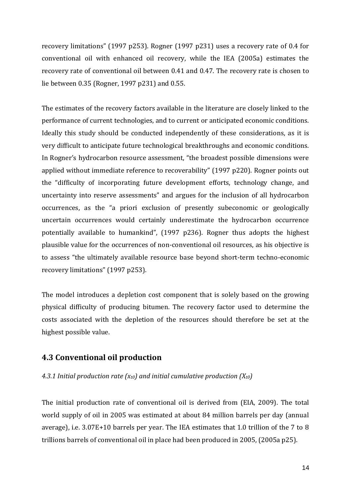recovery limitations" (1997 p253). Rogner (1997 p231) uses a recovery rate of 0.4 for conventional oil with enhanced oil recovery, while the IEA (2005a) estimates the recovery rate of conventional oil between 0.41 and 0.47. The recovery rate is chosen to lie between 0.35 (Rogner, 1997 p231) and 0.55.

The estimates of the recovery factors available in the literature are closely linked to the performance of current technologies, and to current or anticipated economic conditions. Ideally this study should be conducted independently of these considerations, as it is very difficult to anticipate future technological breakthroughs and economic conditions. In Rogner's hydrocarbon resource assessment, "the broadest possible dimensions were applied without immediate reference to recoverability" (1997 p220). Rogner points out the "difficulty of incorporating future development efforts, technology change, and uncertainty into reserve assessments" and argues for the inclusion of all hydrocarbon occurrences, as the "a priori exclusion of presently subeconomic or geologically uncertain occurrences would certainly underestimate the hydrocarbon occurrence potentially available to humankind", (1997 p236). Rogner thus adopts the highest plausible value for the occurrences of non-conventional oil resources, as his objective is to assess "the ultimately available resource base beyond short-term techno-economic recovery limitations" (1997 p253).

The model introduces a depletion cost component that is solely based on the growing physical difficulty of producing bitumen. The recovery factor used to determine the costs associated with the depletion of the resources should therefore be set at the highest possible value.

### **4.3 Conventional oil production**

### *4.3.1 Initial production rate (xt0) and initial cumulative production (Xt0)*

The initial production rate of conventional oil is derived from (EIA, 2009). The total world supply of oil in 2005 was estimated at about 84 million barrels per day (annual average), i.e. 3.07E+10 barrels per year. The IEA estimates that 1.0 trillion of the 7 to 8 trillions barrels of conventional oil in place had been produced in 2005, (2005a p25).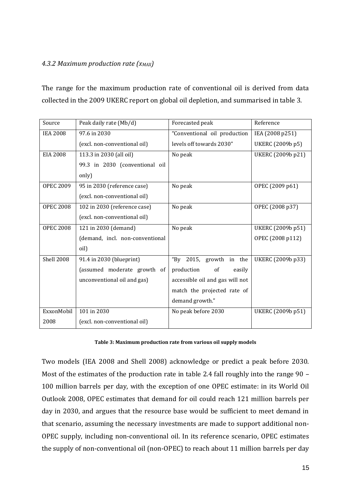### *4.3.2 Maximum production rate (xMAX)*

The range for the maximum production rate of conventional oil is derived from data collected in the 2009 UKERC report on global oil depletion, and summarised in table 3.

| Source            | Peak daily rate (Mb/d)          | Forecasted peak                 | Reference         |
|-------------------|---------------------------------|---------------------------------|-------------------|
| <b>IEA 2008</b>   | 97.6 in 2030                    | "Conventional oil production    | IEA (2008 p251)   |
|                   | (excl. non-conventional oil)    | levels off towards 2030"        | UKERC (2009b p5)  |
| <b>EIA 2008</b>   | 113.3 in 2030 (all oil)         | No peak                         | UKERC (2009b p21) |
|                   | 99.3 in 2030 (conventional oil  |                                 |                   |
|                   | only)                           |                                 |                   |
| <b>OPEC 2009</b>  | 95 in 2030 (reference case)     | No peak                         | OPEC (2009 p61)   |
|                   | (excl. non-conventional oil)    |                                 |                   |
| <b>OPEC 2008</b>  | 102 in 2030 (reference case)    | No peak                         | OPEC (2008 p37)   |
|                   | (excl. non-conventional oil)    |                                 |                   |
| <b>OPEC 2008</b>  | 121 in 2030 (demand)            | No peak                         | UKERC (2009b p51) |
|                   | (demand, incl. non-conventional |                                 | OPEC (2008 p112)  |
|                   | oil)                            |                                 |                   |
| <b>Shell 2008</b> | 91.4 in 2030 (blueprint)        | "By 2015, growth in the         | UKERC (2009b p33) |
|                   | (assumed moderate growth of     | of<br>production<br>easily      |                   |
|                   | unconventional oil and gas)     | accessible oil and gas will not |                   |
|                   |                                 | match the projected rate of     |                   |
|                   |                                 | demand growth."                 |                   |
| ExxonMobil        | 101 in 2030                     | No peak before 2030             | UKERC (2009b p51) |
| 2008              | (excl. non-conventional oil)    |                                 |                   |

### **Table 3: Maximum production rate from various oil supply models**

Two models (IEA 2008 and Shell 2008) acknowledge or predict a peak before 2030. Most of the estimates of the production rate in table 2.4 fall roughly into the range 90 – 100 million barrels per day, with the exception of one OPEC estimate: in its World Oil Outlook 2008, OPEC estimates that demand for oil could reach 121 million barrels per day in 2030, and argues that the resource base would be sufficient to meet demand in that scenario, assuming the necessary investments are made to support additional non-OPEC supply, including non-conventional oil. In its reference scenario, OPEC estimates the supply of non-conventional oil (non-OPEC) to reach about 11 million barrels per day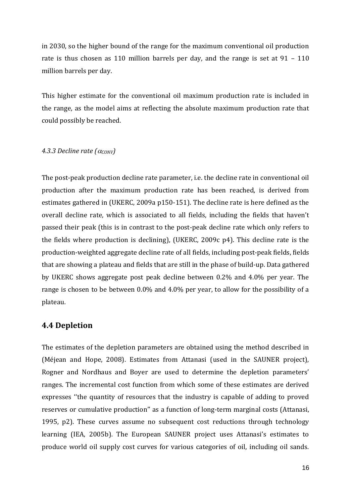in 2030, so the higher bound of the range for the maximum conventional oil production rate is thus chosen as 110 million barrels per day, and the range is set at 91 – 110 million barrels per day.

This higher estimate for the conventional oil maximum production rate is included in the range, as the model aims at reflecting the absolute maximum production rate that could possibly be reached.

### 4.3.3 Decline rate  $(\alpha_{CONV})$

The post-peak production decline rate parameter, i.e. the decline rate in conventional oil production after the maximum production rate has been reached, is derived from estimates gathered in (UKERC, 2009a p150-151). The decline rate is here defined as the overall decline rate, which is associated to all fields, including the fields that haven't passed their peak (this is in contrast to the post-peak decline rate which only refers to the fields where production is declining), (UKERC, 2009c p4). This decline rate is the production-weighted aggregate decline rate of all fields, including post-peak fields, fields that are showing a plateau and fields that are still in the phase of build-up. Data gathered by UKERC shows aggregate post peak decline between 0.2% and 4.0% per year. The range is chosen to be between 0.0% and 4.0% per year, to allow for the possibility of a plateau.

### **4.4 Depletion**

The estimates of the depletion parameters are obtained using the method described in (Méjean and Hope, 2008). Estimates from Attanasi (used in the SAUNER project), Rogner and Nordhaus and Boyer are used to determine the depletion parameters' ranges. The incremental cost function from which some of these estimates are derived expresses ''the quantity of resources that the industry is capable of adding to proved reserves or cumulative production'' as a function of long-term marginal costs (Attanasi, 1995, p2). These curves assume no subsequent cost reductions through technology learning (IEA, 2005b). The European SAUNER project uses Attanasi's estimates to produce world oil supply cost curves for various categories of oil, including oil sands.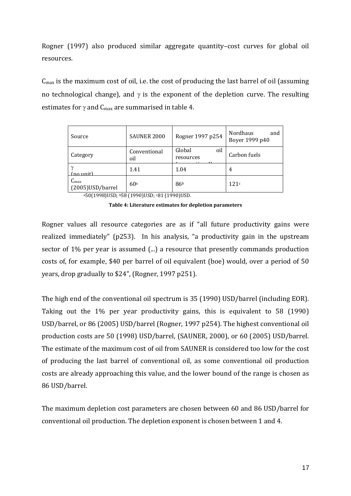Rogner (1997) also produced similar aggregate quantity–cost curves for global oil resources.

Cmax is the maximum cost of oil, i.e. the cost of producing the last barrel of oil (assuming no technological change), and  $\gamma$  is the exponent of the depletion curve. The resulting estimates for  $\gamma$  and  $C_{\text{max}}$  are summarised in table 4.

| Source                                | SAUNER 2000         | Rogner 1997 p254           | <b>Nordhaus</b><br>and<br>Boyer 1999 p40 |
|---------------------------------------|---------------------|----------------------------|------------------------------------------|
| Category                              | Conventional<br>oil | Global<br>oil<br>resources | Carbon fuels                             |
| (no unit)                             | 1.41                | 1.04                       | 4                                        |
| $C_{\text{max}}$<br>(2005) USD/barrel | 60 <sup>a</sup>     | 86 <sup>b</sup>            | 121c                                     |

a50(1998)USD; b58 (1990)USD; c81 (1990)USD.

**Table 4: Literature estimates for depletion parameters**

Rogner values all resource categories are as if "all future productivity gains were realized immediately" (p253). In his analysis, "a productivity gain in the upstream sector of 1% per year is assumed (...) a resource that presently commands production costs of, for example, \$40 per barrel of oil equivalent (boe) would, over a period of 50 years, drop gradually to \$24", (Rogner, 1997 p251).

The high end of the conventional oil spectrum is 35 (1990) USD/barrel (including EOR). Taking out the 1% per year productivity gains, this is equivalent to 58 (1990) USD/barrel, or 86 (2005) USD/barrel (Rogner, 1997 p254). The highest conventional oil production costs are 50 (1998) USD/barrel, (SAUNER, 2000), or 60 (2005) USD/barrel. The estimate of the maximum cost of oil from SAUNER is considered too low for the cost of producing the last barrel of conventional oil, as some conventional oil production costs are already approaching this value, and the lower bound of the range is chosen as 86 USD/barrel.

The maximum depletion cost parameters are chosen between 60 and 86 USD/barrel for conventional oil production. The depletion exponent is chosen between 1 and 4.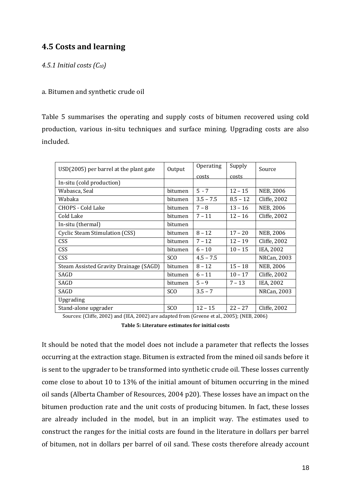### **4.5 Costs and learning**

### *4.5.1 Initial costs (Ct0)*

### a. Bitumen and synthetic crude oil

Table 5 summarises the operating and supply costs of bitumen recovered using cold production, various in-situ techniques and surface mining. Upgrading costs are also included.

| USD(2005) per barrel at the plant gate | Output          | Operating   | Supply     | Source           |
|----------------------------------------|-----------------|-------------|------------|------------------|
|                                        |                 | costs       | costs      |                  |
| In-situ (cold production)              |                 |             |            |                  |
| Wabasca, Seal                          | bitumen         | $5 - 7$     | $12 - 15$  | NEB, 2006        |
| Wabaka                                 | bitumen         | $3.5 - 7.5$ | $8.5 - 12$ | Cliffe, 2002     |
| CHOPS - Cold Lake                      | bitumen         | $7 - 8$     | $13 - 16$  | NEB, 2006        |
| Cold Lake                              | bitumen         | $7 - 11$    | $12 - 16$  | Cliffe, 2002     |
| In-situ (thermal)                      | bitumen         |             |            |                  |
| Cyclic Steam Stimulation (CSS)         | bitumen         | $8 - 12$    | $17 - 20$  | <b>NEB, 2006</b> |
| CSS                                    | bitumen         | $7 - 12$    | $12 - 19$  | Cliffe, 2002     |
| <b>CSS</b>                             | bitumen         | $6 - 10$    | $10 - 15$  | IEA, 2002        |
| <b>CSS</b>                             | SC <sub>O</sub> | $4.5 - 7.5$ |            | NRCan, 2003      |
| Steam Assisted Gravity Drainage (SAGD) | <b>bitumen</b>  | $8 - 12$    | $15 - 18$  | <b>NEB, 2006</b> |
| SAGD                                   | bitumen         | $6 - 11$    | $10 - 17$  | Cliffe, 2002     |
| SAGD                                   | bitumen         | $5 - 9$     | $7 - 13$   | IEA, 2002        |
| SAGD                                   | SC <sub>O</sub> | $3.5 - 7$   |            | NRCan, 2003      |
| Upgrading                              |                 |             |            |                  |
| Stand-alone upgrader                   | SC <sub>O</sub> | $12 - 15$   | $22 - 27$  | Cliffe, 2002     |

Sources: (Cliffe, 2002) and (IEA, 2002) are adapted from (Greene et al., 2005); (NEB, 2006)

**Table 5: Literature estimates for initial costs**

It should be noted that the model does not include a parameter that reflects the losses occurring at the extraction stage. Bitumen is extracted from the mined oil sands before it is sent to the upgrader to be transformed into synthetic crude oil. These losses currently come close to about 10 to 13% of the initial amount of bitumen occurring in the mined oil sands (Alberta Chamber of Resources, 2004 p20). These losses have an impact on the bitumen production rate and the unit costs of producing bitumen. In fact, these losses are already included in the model, but in an implicit way. The estimates used to construct the ranges for the initial costs are found in the literature in dollars per barrel of bitumen, not in dollars per barrel of oil sand. These costs therefore already account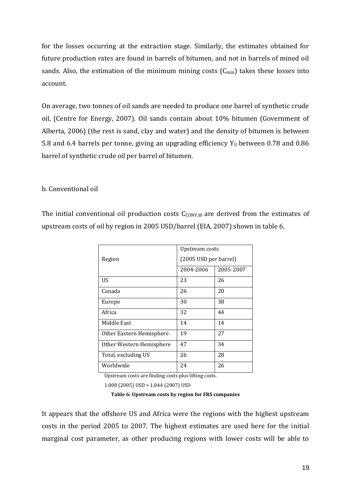for the losses occurring at the extraction stage. Similarly, the estimates obtained for future production rates are found in barrels of bitumen, and not in barrels of mined oil sands. Also, the estimation of the minimum mining costs  $(C_{min})$  takes these losses into account.

On average, two tonnes of oil sands are needed to produce one barrel of synthetic crude oil, (Centre for Energy, 2007). Oil sands contain about 10% bitumen (Government of Alberta, 2006) (the rest is sand, clay and water) and the density of bitumen is between 5.8 and 6.4 barrels per tonne, giving an upgrading efficiency  $Y_U$  between 0.78 and 0.86 barrel of synthetic crude oil per barrel of bitumen.

### b. Conventional oil

The initial conventional oil production costs  $C_{\text{CONV,t0}}$  are derived from the estimates of upstream costs of oil by region in 2005 USD/barrel (EIA, 2007) shown in table 6.

|                          | Upstream costs        |           |
|--------------------------|-----------------------|-----------|
| Region                   | (2005 USD per barrel) |           |
|                          | 2004-2006             | 2005-2007 |
| US                       | 23                    | 26        |
| Canada                   | 26                    | 20        |
| Europe                   | 30                    | 38        |
| Africa                   | 32                    | 44        |
| Middle East              | 14                    | 14        |
| Other Eastern Hemisphere | 19                    | 27        |
| Other Western Hemisphere | 47                    | 34        |
| Total, excluding US      | 26                    | 28        |
| Worldwide                | 24                    | 26        |

Upstream costs are finding costs plus lifting costs.

1.000 (2005) USD = 1.044 (2007) USD

**Table 6: Upstream costs by region for FRS companies** 

It appears that the offshore US and Africa were the regions with the highest upstream costs in the period 2005 to 2007. The highest estimates are used here for the initial marginal cost parameter, as other producing regions with lower costs will be able to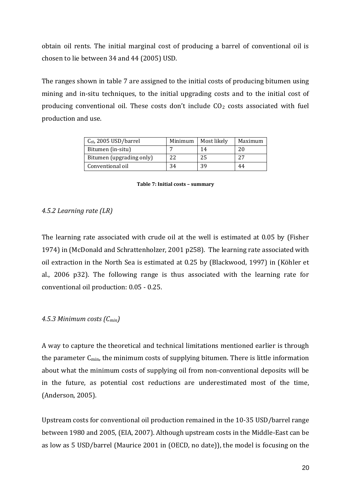obtain oil rents. The initial marginal cost of producing a barrel of conventional oil is chosen to lie between 34 and 44 (2005) USD.

The ranges shown in table 7 are assigned to the initial costs of producing bitumen using mining and in-situ techniques, to the initial upgrading costs and to the initial cost of producing conventional oil. These costs don't include  $CO<sub>2</sub>$  costs associated with fuel production and use.

| $C_{t0}$ , 2005 USD/barrel | Minimum | Most likely | Maximum |
|----------------------------|---------|-------------|---------|
| Bitumen (in-situ)          |         | 14          | 20      |
| Bitumen (upgrading only)   | 22      | 25          | 27      |
| Conventional oil           | 34      | 39          | 44      |

#### **Table 7: Initial costs – summary**

### *4.5.2 Learning rate (LR)*

The learning rate associated with crude oil at the well is estimated at 0.05 by (Fisher 1974) in (McDonald and Schrattenholzer, 2001 p258). The learning rate associated with oil extraction in the North Sea is estimated at 0.25 by (Blackwood, 1997) in (Köhler et al., 2006 p32). The following range is thus associated with the learning rate for conventional oil production: 0.05 - 0.25.

### *4.5.3 Minimum costs (Cmin)*

A way to capture the theoretical and technical limitations mentioned earlier is through the parameter  $C_{\text{min}}$ , the minimum costs of supplying bitumen. There is little information about what the minimum costs of supplying oil from non-conventional deposits will be in the future, as potential cost reductions are underestimated most of the time, (Anderson, 2005).

Upstream costs for conventional oil production remained in the 10-35 USD/barrel range between 1980 and 2005, (EIA, 2007). Although upstream costs in the Middle-East can be as low as 5 USD/barrel (Maurice 2001 in (OECD, no date)), the model is focusing on the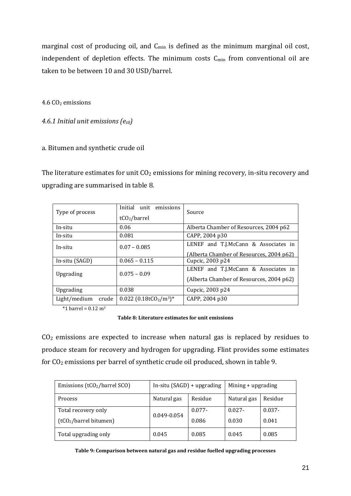marginal cost of producing oil, and  $C_{min}$  is defined as the minimum marginal oil cost, independent of depletion effects. The minimum costs  $C_{min}$  from conventional oil are taken to be between 10 and 30 USD/barrel.

4.6 CO<sub>2</sub> emissions

*4.6.1 Initial unit emissions (et0)*

### a. Bitumen and synthetic crude oil

The literature estimates for unit  $CO<sub>2</sub>$  emissions for mining recovery, in-situ recovery and upgrading are summarised in table 8.

| Type of process       | Initial unit<br>emissions<br>tCO <sub>2</sub> /barrel        | Source                                                                           |
|-----------------------|--------------------------------------------------------------|----------------------------------------------------------------------------------|
| In-situ               | 0.06                                                         | Alberta Chamber of Resources, 2004 p62                                           |
| In-situ               | 0.081                                                        | CAPP, 2004 p30                                                                   |
| In-situ               | $0.07 - 0.085$                                               | LENEF and T.J.McCann & Associates in<br>(Alberta Chamber of Resources, 2004 p62) |
| In-situ (SAGD)        | $0.065 - 0.115$                                              | Cupcic, 2003 p24                                                                 |
| Upgrading             | $0.075 - 0.09$                                               | LENEF and T.J.McCann & Associates in<br>(Alberta Chamber of Resources, 2004 p62) |
| Upgrading             | 0.038                                                        | Cupcic, 2003 p24                                                                 |
| Light/medium<br>crude | $0.022$ (0.18tCO <sub>2</sub> /m <sup>3</sup> ) <sup>*</sup> | CAPP, 2004 p30                                                                   |

 $*1$  barrel = 0.12 m<sup>3</sup>

**Table 8: Literature estimates for unit emissions**

CO<sup>2</sup> emissions are expected to increase when natural gas is replaced by residues to produce steam for recovery and hydrogen for upgrading. Flint provides some estimates for CO<sup>2</sup> emissions per barrel of synthetic crude oil produced, shown in table 9.

| Emissions (tCO <sub>2</sub> /barrel SCO) | In-situ $(SAGD)$ + upgrading |           | Mining + upgrading |           |
|------------------------------------------|------------------------------|-----------|--------------------|-----------|
| <b>Process</b>                           | Natural gas                  | Residue   | Natural gas        | Residue   |
| Total recovery only                      | $0.049 - 0.054$              | $0.077 -$ | $0.027 -$          | $0.037 -$ |
| (tCO <sub>2</sub> /barrel bitumen)       |                              | 0.086     | 0.030              | 0.041     |
| Total upgrading only                     | 0.045                        | 0.085     | 0.045              | 0.085     |

| Table 9: Comparison between natural gas and residue fuelled upgrading processes |  |  |
|---------------------------------------------------------------------------------|--|--|
|---------------------------------------------------------------------------------|--|--|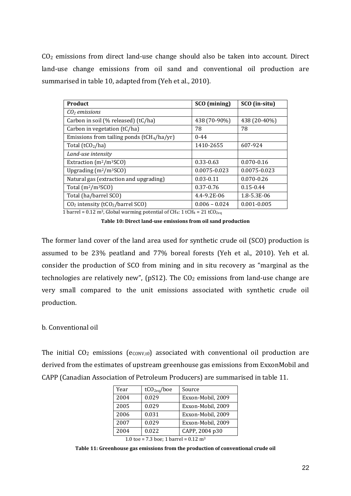CO<sup>2</sup> emissions from direct land-use change should also be taken into account. Direct land-use change emissions from oil sand and conventional oil production are summarised in table 10, adapted from (Yeh et al., 2010).

| <b>Product</b>                                 | SCO (mining)    | SCO (in-situ)   |
|------------------------------------------------|-----------------|-----------------|
| $CO2$ emissions                                |                 |                 |
| Carbon in soil (% released) (tC/ha)            | 438 (70-90%)    | 438 (20-40%)    |
| Carbon in vegetation (tC/ha)                   | 78              | 78              |
| Emissions from tailing ponds $(tCH4/ha/yr)$    | $0 - 44$        |                 |
| Total $(tCO2/ha)$                              | 1410-2655       | 607-924         |
| Land-use intensity                             |                 |                 |
| Extraction $(m^2/m^3SCO)$                      | $0.33 - 0.63$   | $0.070 - 0.16$  |
| Upgrading $(m^2/m^3SCO)$                       | 0.0075-0.023    | 0.0075-0.023    |
| Natural gas (extraction and upgrading)         | $0.03 - 0.11$   | $0.070 - 0.26$  |
| Total $(m^2/m^3SCO)$                           | 0.37-0.76       | $0.15 - 0.44$   |
| Total (ha/barrel SCO)                          | 4.4-9.2E-06     | 1.8-5.3E-06     |
| $CO2$ intensity (tCO <sub>2</sub> /barrel SCO) | $0.006 - 0.024$ | $0.001 - 0.005$ |

1 barrel =  $0.12$  m<sup>3</sup>, Global warming potential of CH<sub>4</sub>: 1 tCH<sub>4</sub> =  $21$  tCO<sub>2eq</sub>

**Table 10: Direct land-use emissions from oil sand production**

The former land cover of the land area used for synthetic crude oil (SCO) production is assumed to be 23% peatland and 77% boreal forests (Yeh et al., 2010). Yeh et al. consider the production of SCO from mining and in situ recovery as "marginal as the technologies are relatively new", ( $pS12$ ). The  $CO<sub>2</sub>$  emissions from land-use change are very small compared to the unit emissions associated with synthetic crude oil production.

### b. Conventional oil

The initial  $CO<sub>2</sub>$  emissions ( $e_{CONV,t0}$ ) associated with conventional oil production are derived from the estimates of upstream greenhouse gas emissions from ExxonMobil and CAPP (Canadian Association of Petroleum Producers) are summarised in table 11.

| Year                                         | tCO <sub>2eq</sub> /boe                                           | Source            |
|----------------------------------------------|-------------------------------------------------------------------|-------------------|
| 2004                                         | 0.029                                                             | Exxon-Mobil, 2009 |
| 2005                                         | 0.029                                                             | Exxon-Mobil, 2009 |
| 2006                                         | 0.031                                                             | Exxon-Mobil, 2009 |
| 2007                                         | 0.029                                                             | Exxon-Mobil, 2009 |
| 2004                                         | 0.022                                                             | CAPP, 2004 p30    |
| $\overline{1}$ $\overline{0}$ $\overline{1}$ | $\overline{501}$ $\overline{11}$ $\overline{1040}$ $\overline{2}$ |                   |

1.0 toe = 7.3 boe; 1 barrel =  $0.12 \text{ m}^3$ 

**Table 11: Greenhouse gas emissions from the production of conventional crude oil**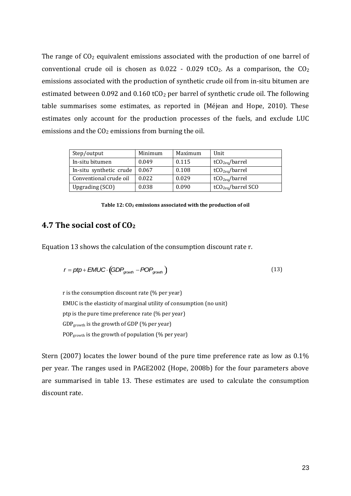The range of  $CO<sub>2</sub>$  equivalent emissions associated with the production of one barrel of conventional crude oil is chosen as  $0.022 - 0.029$  tCO<sub>2</sub>. As a comparison, the CO<sub>2</sub> emissions associated with the production of synthetic crude oil from in-situ bitumen are estimated between 0.092 and 0.160 tCO<sub>2</sub> per barrel of synthetic crude oil. The following table summarises some estimates, as reported in (Méjean and Hope, 2010). These estimates only account for the production processes of the fuels, and exclude LUC emissions and the  $CO<sub>2</sub>$  emissions from burning the oil.

| Step/output             | Minimum | Maximum | Unit                           |
|-------------------------|---------|---------|--------------------------------|
| In-situ bitumen         | 0.049   | 0.115   | tCO <sub>2ea</sub> /barrel     |
| In-situ synthetic crude | 0.067   | 0.108   | tCO <sub>2ea</sub> /barrel     |
| Conventional crude oil  | 0.022   | 0.029   | tCO <sub>2eq</sub> /barrel     |
| Upgrading (SCO)         | 0.038   | 0.090   | tCO <sub>2eq</sub> /barrel SCO |

#### **Table 12: CO<sup>2</sup> emissions associated with the production of oil**

### **4.7 The social cost of CO<sup>2</sup>**

Equation 13 shows the calculation of the consumption discount rate r.

$$
r = ptp + EMUC \cdot (GDP_{growth} - POP_{growth})
$$
\n(13)

r is the consumption discount rate (% per year) EMUC is the elasticity of marginal utility of consumption (no unit) ptp is the pure time preference rate (% per year) GDPgrowth is the growth of GDP (% per year) POPgrowth is the growth of population (% per year)

Stern (2007) locates the lower bound of the pure time preference rate as low as 0.1% per year. The ranges used in PAGE2002 (Hope, 2008b) for the four parameters above are summarised in table 13. These estimates are used to calculate the consumption discount rate.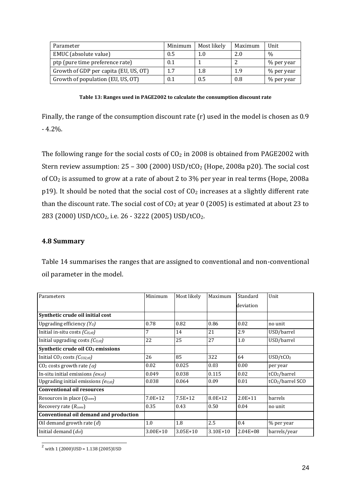| Parameter                             | Minimum | Most likely | Maximum | Unit          |
|---------------------------------------|---------|-------------|---------|---------------|
| EMUC (absolute value)                 | 0.5     | 1.0         | 2.0     | $\frac{0}{0}$ |
| ptp (pure time preference rate)       | 0.1     |             |         | % per year    |
| Growth of GDP per capita (EU, US, OT) | 1.7     | 1.8         | 1.9     | % per year    |
| Growth of population (EU, US, OT)     | 0.1     | 0.5         | 0.8     | % per year    |

**Table 13: Ranges used in PAGE2002 to calculate the consumption discount rate**

Finally, the range of the consumption discount rate (r) used in the model is chosen as 0.9 - 4.2%.

The following range for the social costs of  $CO<sub>2</sub>$  in 2008 is obtained from PAGE2002 with Stern review assumption:  $25 - 300$  (2000) USD/tCO<sub>2</sub> (Hope, 2008a p20). The social cost of CO<sup>2</sup> is assumed to grow at a rate of about 2 to 3% per year in real terms (Hope, 2008a p19). It should be noted that the social cost of  $CO<sub>2</sub>$  increases at a slightly different rate than the discount rate. The social cost of  $CO<sub>2</sub>$  at year 0 (2005) is estimated at about 23 to 283 (2000) USD/tCO2, i.e. 26 - 3222 (2005) USD/tCO2.

### **4.8 Summary**

Table 14 summarises the ranges that are assigned to conventional and non-conventional oil parameter in the model.

| Parameters                                    | Minimum     | Most likely  | Maximum      | Standard     | Unit                         |
|-----------------------------------------------|-------------|--------------|--------------|--------------|------------------------------|
|                                               |             |              |              | deviation    |                              |
| Synthetic crude oil initial cost              |             |              |              |              |                              |
| Upgrading efficiency $(Y_U)$                  | 0.78        | 0.82         | 0.86         | 0.02         | no unit                      |
| Initial in-situ costs $(C_{IS,t0})$           | 7           | 14           | 21           | 2.9          | USD/barrel                   |
| Initial upgrading costs $(C_{U,t0})$          | 22          | 25           | 27           | 1.0          | USD/barrel                   |
| Synthetic crude oil CO <sub>2</sub> emissions |             |              |              |              |                              |
| Initial $CO2 \cos ts$ ( $CCO2,t0$ )           | 26          | 85           | 322          | 64           | USD/tCO <sub>2</sub>         |
| CO <sub>2</sub> costs growth rate $(\alpha)$  | 0.02        | 0.025        | 0.03         | 0.00         | per year                     |
| In-situ initial emissions $(e_{M,t0})$        | 0.049       | 0.038        | 0.115        | 0.02         | tCO <sub>2</sub> /barrel     |
| Upgrading initial emissions $(e_{U,t0})$      | 0.038       | 0.064        | 0.09         | 0.01         | tCO <sub>2</sub> /barrel SCO |
| <b>Conventional oil resources</b>             |             |              |              |              |                              |
| Resources in place $(Q_{conv})$               | $7.0E + 12$ | $7.5E+12$    | $8.0E + 12$  | $2.0E + 11$  | barrels                      |
| Recovery rate $(R_{conv})$                    | 0.35        | 0.43         | 0.50         | 0.04         | no unit                      |
| Conventional oil demand and production        |             |              |              |              |                              |
| Oil demand growth rate $(d)$                  | 1.0         | 1.8          | 2.5          | 0.4          | % per year                   |
| Initial demand $(d_{t0})$                     | 3.00E+10    | $3.05E + 10$ | $3.10E + 10$ | $2.04E + 08$ | barrels/year                 |

 $\overline{a}$  $^2$  with 1 (2000)USD = 1.138 (2005)USD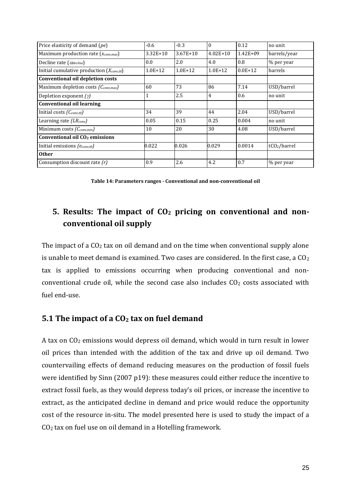| Price elasticity of demand (pe)                         | $-0.6$      | $-0.3$       | $\theta$     | 0.12         | no unit                  |
|---------------------------------------------------------|-------------|--------------|--------------|--------------|--------------------------|
| Maximum production rate ( <i>x<sub>conv,max</sub></i> ) | $3.32E+10$  | $3.67E + 10$ | $4.02E + 10$ | $1.42E + 09$ | barrels/year             |
| Decline rate $(\alpha_{\text{delcline}})$               | 0.0         | 2.0          | 4.0          | 0.8          | % per year               |
| Initial cumulative production $(X_{conv,t0})$           | $1.0E + 12$ | $1.0E + 12$  | $1.0E + 12$  | $0.0E + 12$  | barrels                  |
| Conventional oil depletion costs                        |             |              |              |              |                          |
| Maximum depletion costs (Cconv,max)                     | 60          | 73           | 86           | 7.14         | USD/barrel               |
| Depletion exponent $(\gamma)$                           |             | 2.5          | 4            | 0.6          | no unit                  |
| <b>Conventional oil learning</b>                        |             |              |              |              |                          |
| Initial costs $(C_{conv,t0})$                           | 34          | 39           | 44           | 2.04         | USD/barrel               |
| Learning rate $(LR_{conv})$                             | 0.05        | 0.15         | 0.25         | 0.004        | no unit                  |
| Minimum costs $(C_{conv,min})$                          | 10          | 20           | 30           | 4.08         | USD/barrel               |
| Conventional oil CO <sub>2</sub> emissions              |             |              |              |              |                          |
| Initial emissions (econv,to)                            | 0.022       | 0.026        | 0.029        | 0.0014       | tCO <sub>2</sub> /barrel |
| <b>Other</b>                                            |             |              |              |              |                          |
| Consumption discount rate $(r)$                         | 0.9         | 2.6          | 4.2          | 0.7          | % per year               |

**Table 14: Parameters ranges - Conventional and non-conventional oil**

## **5. Results: The impact of CO<sup>2</sup> pricing on conventional and nonconventional oil supply**

The impact of a  $CO<sub>2</sub>$  tax on oil demand and on the time when conventional supply alone is unable to meet demand is examined. Two cases are considered. In the first case, a  $CO<sub>2</sub>$ tax is applied to emissions occurring when producing conventional and nonconventional crude oil, while the second case also includes  $CO<sub>2</sub>$  costs associated with fuel end-use.

### **5.1 The impact of a CO<sup>2</sup> tax on fuel demand**

A tax on CO<sup>2</sup> emissions would depress oil demand, which would in turn result in lower oil prices than intended with the addition of the tax and drive up oil demand. Two countervailing effects of demand reducing measures on the production of fossil fuels were identified by Sinn (2007 p19): these measures could either reduce the incentive to extract fossil fuels, as they would depress today's oil prices, or increase the incentive to extract, as the anticipated decline in demand and price would reduce the opportunity cost of the resource in-situ. The model presented here is used to study the impact of a CO<sup>2</sup> tax on fuel use on oil demand in a Hotelling framework.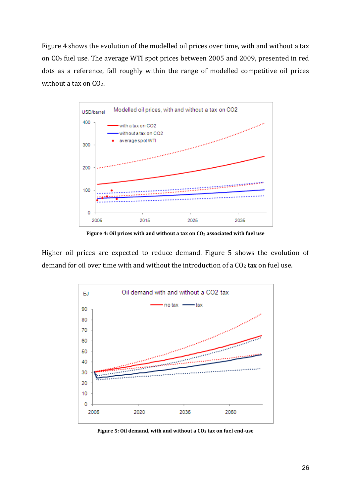Figure 4 shows the evolution of the modelled oil prices over time, with and without a tax on CO2 fuel use. The average WTI spot prices between 2005 and 2009, presented in red dots as a reference, fall roughly within the range of modelled competitive oil prices without a tax on CO<sub>2</sub>.



**Figure 4: Oil prices with and without a tax on CO<sup>2</sup> associated with fuel use**

Higher oil prices are expected to reduce demand. Figure 5 shows the evolution of demand for oil over time with and without the introduction of a  $CO<sub>2</sub>$  tax on fuel use.



**Figure 5: Oil demand, with and without a CO<sup>2</sup> tax on fuel end-use**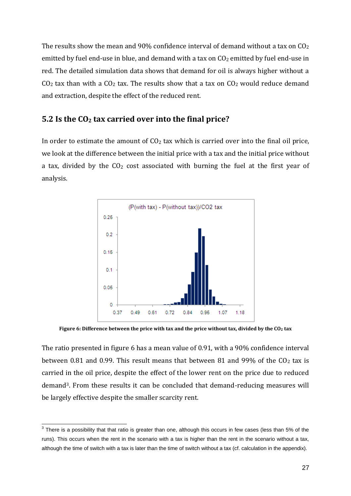The results show the mean and 90% confidence interval of demand without a tax on  $CO<sub>2</sub>$ emitted by fuel end-use in blue, and demand with a tax on  $CO<sub>2</sub>$  emitted by fuel end-use in red. The detailed simulation data shows that demand for oil is always higher without a  $CO<sub>2</sub>$  tax than with a  $CO<sub>2</sub>$  tax. The results show that a tax on  $CO<sub>2</sub>$  would reduce demand and extraction, despite the effect of the reduced rent.

### **5.2 Is the CO<sup>2</sup> tax carried over into the final price?**

In order to estimate the amount of  $CO<sub>2</sub>$  tax which is carried over into the final oil price, we look at the difference between the initial price with a tax and the initial price without a tax, divided by the  $CO<sub>2</sub>$  cost associated with burning the fuel at the first year of analysis.



**Figure 6: Difference between the price with tax and the price without tax, divided by the CO<sup>2</sup> tax**

The ratio presented in figure 6 has a mean value of 0.91, with a 90% confidence interval between 0.81 and 0.99. This result means that between 81 and 99% of the  $CO<sub>2</sub>$  tax is carried in the oil price, despite the effect of the lower rent on the price due to reduced demand3. From these results it can be concluded that demand-reducing measures will be largely effective despite the smaller scarcity rent.

 3 There is a possibility that that ratio is greater than one, although this occurs in few cases (less than 5% of the runs). This occurs when the rent in the scenario with a tax is higher than the rent in the scenario without a tax, although the time of switch with a tax is later than the time of switch without a tax (cf. calculation in the appendix).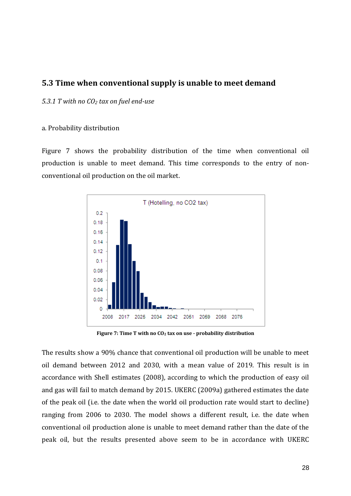### **5.3 Time when conventional supply is unable to meet demand**

*5.3.1 T with no CO<sup>2</sup> tax on fuel end-use*

### a. Probability distribution

Figure 7 shows the probability distribution of the time when conventional oil production is unable to meet demand. This time corresponds to the entry of nonconventional oil production on the oil market.



**Figure 7: Time T with no CO<sup>2</sup> tax on use - probability distribution**

The results show a 90% chance that conventional oil production will be unable to meet oil demand between 2012 and 2030, with a mean value of 2019. This result is in accordance with Shell estimates (2008), according to which the production of easy oil and gas will fail to match demand by 2015. UKERC (2009a) gathered estimates the date of the peak oil (i.e. the date when the world oil production rate would start to decline) ranging from 2006 to 2030. The model shows a different result, i.e. the date when conventional oil production alone is unable to meet demand rather than the date of the peak oil, but the results presented above seem to be in accordance with UKERC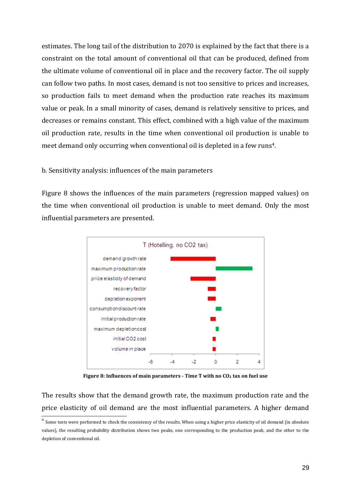estimates. The long tail of the distribution to 2070 is explained by the fact that there is a constraint on the total amount of conventional oil that can be produced, defined from the ultimate volume of conventional oil in place and the recovery factor. The oil supply can follow two paths. In most cases, demand is not too sensitive to prices and increases, so production fails to meet demand when the production rate reaches its maximum value or peak. In a small minority of cases, demand is relatively sensitive to prices, and decreases or remains constant. This effect, combined with a high value of the maximum oil production rate, results in the time when conventional oil production is unable to meet demand only occurring when conventional oil is depleted in a few runs<sup>4</sup>.

### b. Sensitivity analysis: influences of the main parameters

Figure 8 shows the influences of the main parameters (regression mapped values) on the time when conventional oil production is unable to meet demand. Only the most influential parameters are presented.



**Figure 8: Influences of main parameters - Time T with no CO<sup>2</sup> tax on fuel use**

The results show that the demand growth rate, the maximum production rate and the price elasticity of oil demand are the most influential parameters. A higher demand

 4 Some tests were performed to check the consistency of the results. When using a higher price elasticity of oil demand (in absolute values), the resulting probability distribution shows two peaks, one corresponding to the production peak, and the other to the depletion of conventional oil.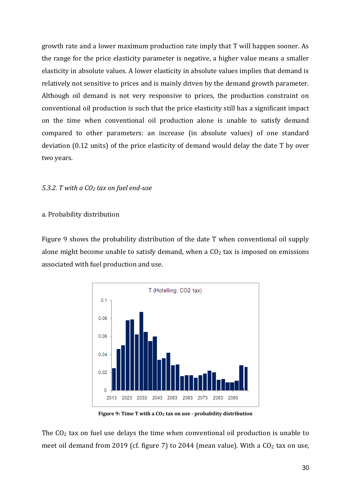growth rate and a lower maximum production rate imply that T will happen sooner. As the range for the price elasticity parameter is negative, a higher value means a smaller elasticity in absolute values. A lower elasticity in absolute values implies that demand is relatively not sensitive to prices and is mainly driven by the demand growth parameter. Although oil demand is not very responsive to prices, the production constraint on conventional oil production is such that the price elasticity still has a significant impact on the time when conventional oil production alone is unable to satisfy demand compared to other parameters: an increase (in absolute values) of one standard deviation (0.12 units) of the price elasticity of demand would delay the date T by over two years.

### *5.3.2. T with a CO<sup>2</sup> tax on fuel end-use*

### a. Probability distribution

Figure 9 shows the probability distribution of the date T when conventional oil supply alone might become unable to satisfy demand, when a  $CO<sub>2</sub>$  tax is imposed on emissions associated with fuel production and use.



**Figure 9: Time T with a CO<sup>2</sup> tax on use - probability distribution**

The  $CO<sub>2</sub>$  tax on fuel use delays the time when conventional oil production is unable to meet oil demand from 2019 (cf. figure 7) to 2044 (mean value). With a  $CO<sub>2</sub>$  tax on use,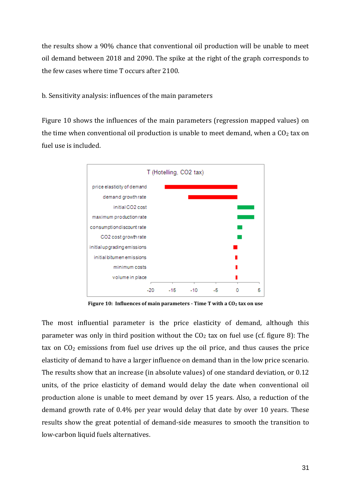the results show a 90% chance that conventional oil production will be unable to meet oil demand between 2018 and 2090. The spike at the right of the graph corresponds to the few cases where time T occurs after 2100.

b. Sensitivity analysis: influences of the main parameters

Figure 10 shows the influences of the main parameters (regression mapped values) on the time when conventional oil production is unable to meet demand, when a  $CO<sub>2</sub>$  tax on fuel use is included.



**Figure 10: Influences of main parameters - Time T with a CO<sup>2</sup> tax on use**

The most influential parameter is the price elasticity of demand, although this parameter was only in third position without the  $CO<sub>2</sub>$  tax on fuel use (cf. figure 8): The tax on  $CO<sub>2</sub>$  emissions from fuel use drives up the oil price, and thus causes the price elasticity of demand to have a larger influence on demand than in the low price scenario. The results show that an increase (in absolute values) of one standard deviation, or 0.12 units, of the price elasticity of demand would delay the date when conventional oil production alone is unable to meet demand by over 15 years. Also, a reduction of the demand growth rate of 0.4% per year would delay that date by over 10 years. These results show the great potential of demand-side measures to smooth the transition to low-carbon liquid fuels alternatives.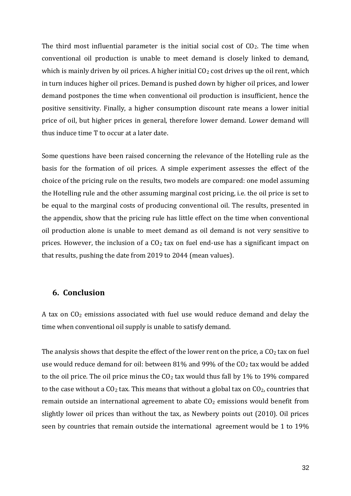The third most influential parameter is the initial social cost of  $CO<sub>2</sub>$ . The time when conventional oil production is unable to meet demand is closely linked to demand, which is mainly driven by oil prices. A higher initial  $CO<sub>2</sub>$  cost drives up the oil rent, which in turn induces higher oil prices. Demand is pushed down by higher oil prices, and lower demand postpones the time when conventional oil production is insufficient, hence the positive sensitivity. Finally, a higher consumption discount rate means a lower initial price of oil, but higher prices in general, therefore lower demand. Lower demand will thus induce time T to occur at a later date.

Some questions have been raised concerning the relevance of the Hotelling rule as the basis for the formation of oil prices. A simple experiment assesses the effect of the choice of the pricing rule on the results, two models are compared: one model assuming the Hotelling rule and the other assuming marginal cost pricing, i.e. the oil price is set to be equal to the marginal costs of producing conventional oil. The results, presented in the appendix, show that the pricing rule has little effect on the time when conventional oil production alone is unable to meet demand as oil demand is not very sensitive to prices. However, the inclusion of a  $CO<sub>2</sub>$  tax on fuel end-use has a significant impact on that results, pushing the date from 2019 to 2044 (mean values).

### **6. Conclusion**

A tax on CO<sup>2</sup> emissions associated with fuel use would reduce demand and delay the time when conventional oil supply is unable to satisfy demand.

The analysis shows that despite the effect of the lower rent on the price, a  $CO<sub>2</sub>$  tax on fuel use would reduce demand for oil: between 81% and 99% of the  $CO<sub>2</sub>$  tax would be added to the oil price. The oil price minus the  $CO<sub>2</sub>$  tax would thus fall by 1% to 19% compared to the case without a  $CO<sub>2</sub>$  tax. This means that without a global tax on  $CO<sub>2</sub>$ , countries that remain outside an international agreement to abate  $CO<sub>2</sub>$  emissions would benefit from slightly lower oil prices than without the tax, as Newbery points out (2010). Oil prices seen by countries that remain outside the international agreement would be 1 to 19%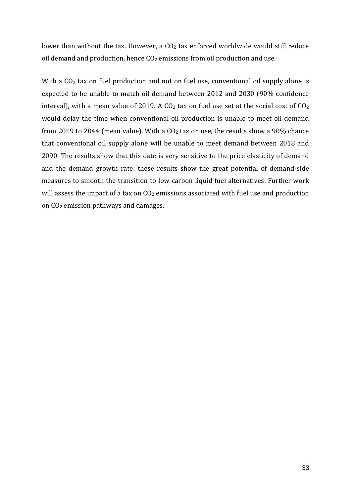lower than without the tax. However, a CO<sub>2</sub> tax enforced worldwide would still reduce oil demand and production, hence  $CO<sub>2</sub>$  emissions from oil production and use.

With a CO<sub>2</sub> tax on fuel production and not on fuel use, conventional oil supply alone is expected to be unable to match oil demand between 2012 and 2030 (90% confidence interval), with a mean value of 2019. A  $CO<sub>2</sub>$  tax on fuel use set at the social cost of  $CO<sub>2</sub>$ would delay the time when conventional oil production is unable to meet oil demand from 2019 to 2044 (mean value). With a  $CO<sub>2</sub>$  tax on use, the results show a 90% chance that conventional oil supply alone will be unable to meet demand between 2018 and 2090. The results show that this date is very sensitive to the price elasticity of demand and the demand growth rate: these results show the great potential of demand-side measures to smooth the transition to low-carbon liquid fuel alternatives. Further work will assess the impact of a tax on  $CO<sub>2</sub>$  emissions associated with fuel use and production on  $CO<sub>2</sub>$  emission pathways and damages.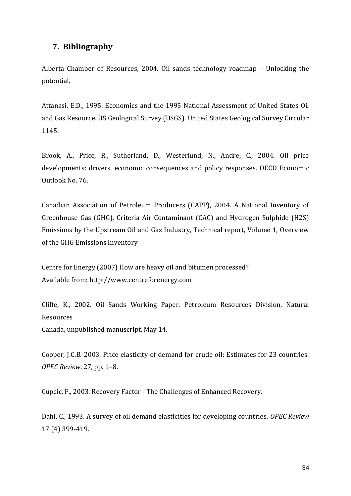### **7. Bibliography**

Alberta Chamber of Resources, 2004. Oil sands technology roadmap – Unlocking the potential.

Attanasi, E.D., 1995. Economics and the 1995 National Assessment of United States Oil and Gas Resource. US Geological Survey (USGS). United States Geological Survey Circular 1145.

Brook, A., Price, R., Sutherland, D., Westerlund, N., Andre, C., 2004. Oil price developments: drivers, economic consequences and policy responses. OECD Economic Outlook No. 76.

Canadian Association of Petroleum Producers (CAPP), 2004. A National Inventory of Greenhouse Gas (GHG), Criteria Air Contaminant (CAC) and Hydrogen Sulphide (H2S) Emissions by the Upstream Oil and Gas Industry, Technical report, Volume 1, Overview of the GHG Emissions Inventory

Centre for Energy (2007) How are heavy oil and bitumen processed? Available from: http://www.centreforenergy.com

Cliffe, K., 2002. Oil Sands Working Paper, Petroleum Resources Division, Natural Resources

Canada, unpublished manuscript, May 14.

Cooper, J.C.B. 2003. Price elasticity of demand for crude oil: Estimates for 23 countries. *OPEC Review*, 27, pp. 1–8.

Cupcic, F., 2003. Recovery Factor - The Challenges of Enhanced Recovery.

Dahl, C., 1993. A survey of oil demand elasticities for developing countries. *OPEC Review* 17 (4) 399-419.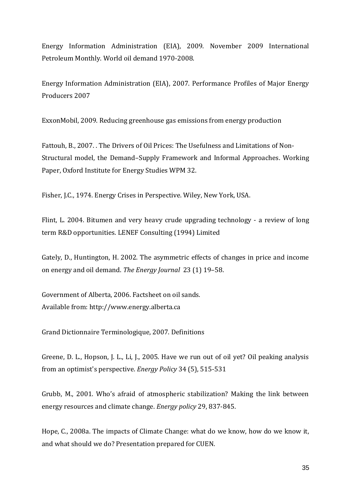Energy Information Administration (EIA), 2009. November 2009 International Petroleum Monthly. World oil demand 1970-2008.

Energy Information Administration (EIA), 2007. Performance Profiles of Major Energy Producers 2007

ExxonMobil, 2009. Reducing greenhouse gas emissions from energy production

Fattouh, B., 2007. . The Drivers of Oil Prices: The Usefulness and Limitations of Non-Structural model, the Demand–Supply Framework and Informal Approaches. Working Paper, Oxford Institute for Energy Studies WPM 32.

Fisher, J.C., 1974. Energy Crises in Perspective. Wiley, New York, USA.

Flint, L. 2004. Bitumen and very heavy crude upgrading technology - a review of long term R&D opportunities. LENEF Consulting (1994) Limited

Gately, D., Huntington, H. 2002. The asymmetric effects of changes in price and income on energy and oil demand. *The Energy Journal* 23 (1) 19–58.

Government of Alberta, 2006. Factsheet on oil sands. Available from: http://www.energy.alberta.ca

Grand Dictionnaire Terminologique, 2007. Definitions

Greene, D. L., Hopson, J. L., Li, J., 2005. Have we run out of oil yet? Oil peaking analysis from an optimist's perspective. *Energy Policy* 34 (5), 515-531

Grubb, M., 2001. Who's afraid of atmospheric stabilization? Making the link between energy resources and climate change. *Energy policy* 29, 837-845.

Hope, C., 2008a. The impacts of Climate Change: what do we know, how do we know it, and what should we do? Presentation prepared for CUEN.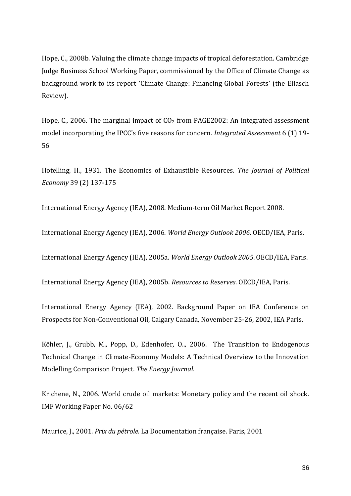Hope, C., 2008b. Valuing the climate change impacts of tropical deforestation. Cambridge Judge Business School Working Paper, commissioned by the Office of Climate Change as background work to its report 'Climate Change: Financing Global Forests' (the Eliasch Review).

Hope, C., 2006. The marginal impact of  $CO<sub>2</sub>$  from PAGE2002: An integrated assessment model incorporating the IPCC's five reasons for concern. *Integrated Assessment* 6 (1) 19- 56

Hotelling, H., 1931. The Economics of Exhaustible Resources*. The Journal of Political Economy* 39 (2) 137-175

International Energy Agency (IEA), 2008. Medium-term Oil Market Report 2008.

International Energy Agency (IEA), 2006. *World Energy Outlook 2006*. OECD/IEA, Paris.

International Energy Agency (IEA), 2005a. *World Energy Outlook 2005*. OECD/IEA, Paris.

International Energy Agency (IEA), 2005b. *Resources to Reserves*. OECD/IEA, Paris.

International Energy Agency (IEA), 2002. Background Paper on IEA Conference on Prospects for Non-Conventional Oil, Calgary Canada, November 25-26, 2002, IEA Paris.

Köhler, J., Grubb, M., Popp, D., Edenhofer*,* O..*,* 2006. The Transition to Endogenous Technical Change in Climate-Economy Models: A Technical Overview to the Innovation Modelling Comparison Project. *The Energy Journal.*

Krichene, N., 2006. World crude oil markets: Monetary policy and the recent oil shock. IMF Working Paper No. 06/62

Maurice, J., 2001. *Prix du pétrole.* La Documentation française. Paris, 2001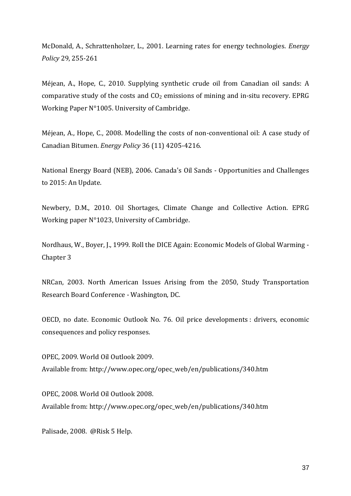McDonald, A., Schrattenholzer, L., 2001. Learning rates for energy technologies. *Energy Policy* 29, 255-261

Méjean, A., Hope, C., 2010. Supplying synthetic crude oil from Canadian oil sands: A comparative study of the costs and  $CO<sub>2</sub>$  emissions of mining and in-situ recovery. EPRG Working Paper N°1005. University of Cambridge.

Méjean, A., Hope, C., 2008. Modelling the costs of non-conventional oil: A case study of Canadian Bitumen. *Energy Policy* 36 (11) 4205-4216.

National Energy Board (NEB), 2006. Canada's Oil Sands - Opportunities and Challenges to 2015: An Update.

Newbery, D.M., 2010. Oil Shortages, Climate Change and Collective Action. EPRG Working paper N°1023, University of Cambridge.

Nordhaus, W., Boyer, J., 1999. Roll the DICE Again: Economic Models of Global Warming - Chapter 3

NRCan, 2003. North American Issues Arising from the 2050, Study Transportation Research Board Conference - Washington, DC.

OECD, no date. Economic Outlook No. 76. Oil price developments : drivers, economic consequences and policy responses.

OPEC, 2009. World Oil Outlook 2009. Available from: http://www.opec.org/opec\_web/en/publications/340.htm

OPEC, 2008. World Oil Outlook 2008. Available from: http://www.opec.org/opec\_web/en/publications/340.htm

Palisade, 2008. @Risk 5 Help.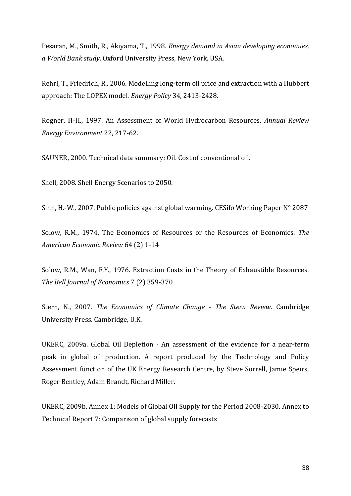Pesaran, M., Smith, R., Akiyama, T., 1998. *Energy demand in Asian developing economies, a World Bank study*. Oxford University Press, New York, USA.

Rehrl, T., Friedrich, R., 2006. Modelling long-term oil price and extraction with a Hubbert approach: The LOPEX model. *Energy Policy* 34, 2413-2428.

Rogner, H-H., 1997. An Assessment of World Hydrocarbon Resources*. Annual Review Energy Environment* 22, 217-62.

SAUNER, 2000. Technical data summary: Oil. Cost of conventional oil.

Shell, 2008. Shell Energy Scenarios to 2050.

Sinn, H.-W., 2007. Public policies against global warming. CESifo Working Paper N° 2087

Solow, R.M., 1974. The Economics of Resources or the Resources of Economics. *The American Economic Review* 64 (2) 1-14

Solow, R.M., Wan, F.Y., 1976. Extraction Costs in the Theory of Exhaustible Resources. *The Bell Journal of Economics* 7 (2) 359-370

Stern, N., 2007. *The Economics of Climate Change - The Stern Review*. Cambridge University Press. Cambridge, U.K.

UKERC, 2009a. Global Oil Depletion - An assessment of the evidence for a near-term peak in global oil production. A report produced by the Technology and Policy Assessment function of the UK Energy Research Centre, by Steve Sorrell, Jamie Speirs, Roger Bentley, Adam Brandt, Richard Miller.

UKERC, 2009b. Annex 1: Models of Global Oil Supply for the Period 2008-2030. Annex to Technical Report 7: Comparison of global supply forecasts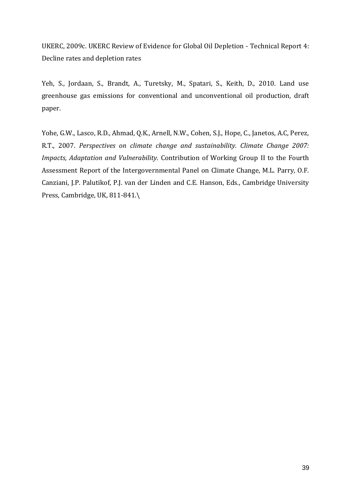UKERC, 2009c. UKERC Review of Evidence for Global Oil Depletion - Technical Report 4: Decline rates and depletion rates

Yeh, S., Jordaan, S., Brandt, A., Turetsky, M., Spatari, S., Keith, D., 2010. Land use greenhouse gas emissions for conventional and unconventional oil production, draft paper.

Yohe, G.W., Lasco, R.D., Ahmad, Q.K., Arnell, N.W., Cohen, S.J., Hope, C., Janetos, A.C, Perez, R.T., 2007. *Perspectives on climate change and sustainability. Climate Change 2007: Impacts, Adaptation and Vulnerability.* Contribution of Working Group II to the Fourth Assessment Report of the Intergovernmental Panel on Climate Change, M.L. Parry, O.F. Canziani, J.P. Palutikof, P.J. van der Linden and C.E. Hanson, Eds., Cambridge University Press, Cambridge, UK, 811-841.\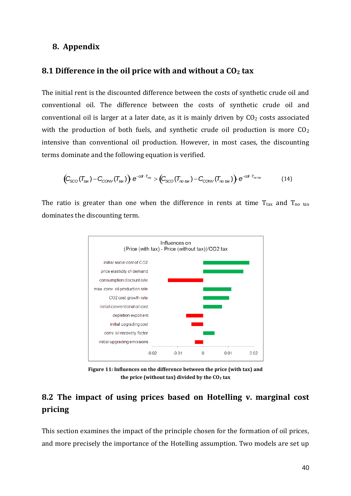### **8. Appendix**

### **8.1 Difference in the oil price with and without a CO<sup>2</sup> tax**

The initial rent is the discounted difference between the costs of synthetic crude oil and conventional oil. The difference between the costs of synthetic crude oil and conventional oil is larger at a later date, as it is mainly driven by  $CO<sub>2</sub>$  costs associated with the production of both fuels, and synthetic crude oil production is more  $CO<sub>2</sub>$ intensive than conventional oil production. However, in most cases, the discounting terms dominate and the following equation is verified.

$$
(C_{\text{SCO}}(T_{\text{tax}}) - C_{\text{CONV}}(T_{\text{tax}})) \cdot e^{-c d \cdot T_{\text{tax}}} > (C_{\text{SCO}}(T_{\text{no tax}}) - C_{\text{CONV}}(T_{\text{no tax}})) \cdot e^{-c d \cdot T_{\text{no tax}}}
$$
(14)

 $\mathbb{R}^2$ The ratio is greater than one when the difference in rents at time  $T_{\text{tax}}$  and  $T_{\text{no tax}}$ dominates the discounting term.



**Figure 11: Influences on the difference between the price (with tax) and the price (without tax) divided by the CO<sup>2</sup> tax**

### **8.2 The impact of using prices based on Hotelling v. marginal cost pricing**

This section examines the impact of the principle chosen for the formation of oil prices, and more precisely the importance of the Hotelling assumption. Two models are set up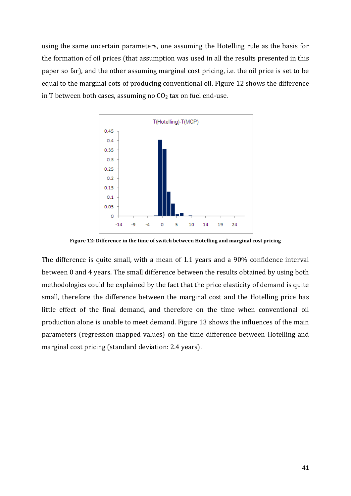using the same uncertain parameters, one assuming the Hotelling rule as the basis for the formation of oil prices (that assumption was used in all the results presented in this paper so far), and the other assuming marginal cost pricing, i.e. the oil price is set to be equal to the marginal cots of producing conventional oil. Figure 12 shows the difference in T between both cases, assuming no  $CO<sub>2</sub>$  tax on fuel end-use.



**Figure 12: Difference in the time of switch between Hotelling and marginal cost pricing**

The difference is quite small, with a mean of 1.1 years and a 90% confidence interval between 0 and 4 years. The small difference between the results obtained by using both methodologies could be explained by the fact that the price elasticity of demand is quite small, therefore the difference between the marginal cost and the Hotelling price has little effect of the final demand, and therefore on the time when conventional oil production alone is unable to meet demand. Figure 13 shows the influences of the main parameters (regression mapped values) on the time difference between Hotelling and marginal cost pricing (standard deviation: 2.4 years).